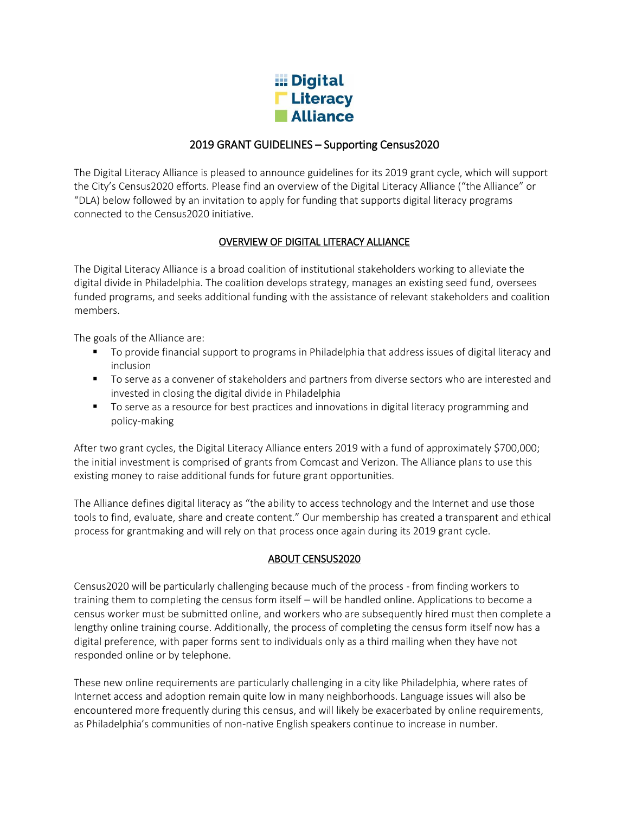

# 2019 GRANT GUIDELINES – Supporting Census2020

The Digital Literacy Alliance is pleased to announce guidelines for its 2019 grant cycle, which will support the City's Census2020 efforts. Please find an overview of the Digital Literacy Alliance ("the Alliance" or "DLA) below followed by an invitation to apply for funding that supports digital literacy programs connected to the Census2020 initiative.

## OVERVIEW OF DIGITAL LITERACY ALLIANCE

The Digital Literacy Alliance is a broad coalition of institutional stakeholders working to alleviate the digital divide in Philadelphia. The coalition develops strategy, manages an existing seed fund, oversees funded programs, and seeks additional funding with the assistance of relevant stakeholders and coalition members.

The goals of the Alliance are:

- To provide financial support to programs in Philadelphia that address issues of digital literacy and inclusion
- To serve as a convener of stakeholders and partners from diverse sectors who are interested and invested in closing the digital divide in Philadelphia
- To serve as a resource for best practices and innovations in digital literacy programming and policy-making

After two grant cycles, the Digital Literacy Alliance enters 2019 with a fund of approximately \$700,000; the initial investment is comprised of grants from Comcast and Verizon. The Alliance plans to use this existing money to raise additional funds for future grant opportunities.

The Alliance defines digital literacy as "the ability to access technology and the Internet and use those tools to find, evaluate, share and create content." Our membership has created a transparent and ethical process for grantmaking and will rely on that process once again during its 2019 grant cycle.

### ABOUT CENSUS2020

Census2020 will be particularly challenging because much of the process - from finding workers to training them to completing the census form itself – will be handled online. Applications to become a census worker must be submitted online, and workers who are subsequently hired must then complete a lengthy online training course. Additionally, the process of completing the census form itself now has a digital preference, with paper forms sent to individuals only as a third mailing when they have not responded online or by telephone.

These new online requirements are particularly challenging in a city like Philadelphia, where rates of Internet access and adoption remain quite low in many neighborhoods. Language issues will also be encountered more frequently during this census, and will likely be exacerbated by online requirements, as Philadelphia's communities of non-native English speakers continue to increase in number.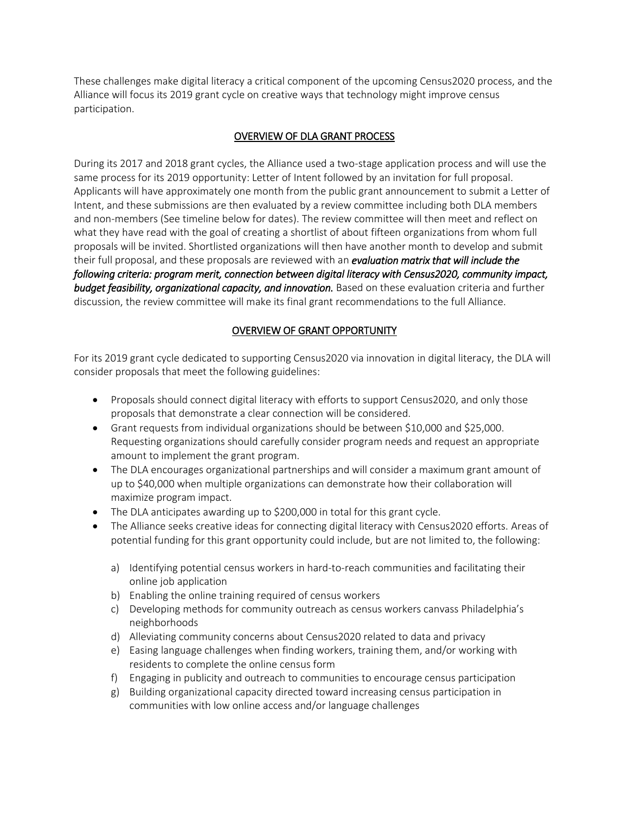These challenges make digital literacy a critical component of the upcoming Census2020 process, and the Alliance will focus its 2019 grant cycle on creative ways that technology might improve census participation.

## OVERVIEW OF DLA GRANT PROCESS

During its 2017 and 2018 grant cycles, the Alliance used a two-stage application process and will use the same process for its 2019 opportunity: Letter of Intent followed by an invitation for full proposal. Applicants will have approximately one month from the public grant announcement to submit a Letter of Intent, and these submissions are then evaluated by a review committee including both DLA members and non-members (See timeline below for dates). The review committee will then meet and reflect on what they have read with the goal of creating a shortlist of about fifteen organizations from whom full proposals will be invited. Shortlisted organizations will then have another month to develop and submit their full proposal, and these proposals are reviewed with an *evaluation matrix that will include the following criteria: program merit, connection between digital literacy with Census2020, community impact, budget feasibility, organizational capacity, and innovation.* Based on these evaluation criteria and further discussion, the review committee will make its final grant recommendations to the full Alliance.

## OVERVIEW OF GRANT OPPORTUNITY

For its 2019 grant cycle dedicated to supporting Census2020 via innovation in digital literacy, the DLA will consider proposals that meet the following guidelines:

- Proposals should connect digital literacy with efforts to support Census2020, and only those proposals that demonstrate a clear connection will be considered.
- Grant requests from individual organizations should be between \$10,000 and \$25,000. Requesting organizations should carefully consider program needs and request an appropriate amount to implement the grant program.
- The DLA encourages organizational partnerships and will consider a maximum grant amount of up to \$40,000 when multiple organizations can demonstrate how their collaboration will maximize program impact.
- The DLA anticipates awarding up to \$200,000 in total for this grant cycle.
- The Alliance seeks creative ideas for connecting digital literacy with Census2020 efforts. Areas of potential funding for this grant opportunity could include, but are not limited to, the following:
	- a) Identifying potential census workers in hard-to-reach communities and facilitating their online job application
	- b) Enabling the online training required of census workers
	- c) Developing methods for community outreach as census workers canvass Philadelphia's neighborhoods
	- d) Alleviating community concerns about Census2020 related to data and privacy
	- e) Easing language challenges when finding workers, training them, and/or working with residents to complete the online census form
	- f) Engaging in publicity and outreach to communities to encourage census participation
	- g) Building organizational capacity directed toward increasing census participation in communities with low online access and/or language challenges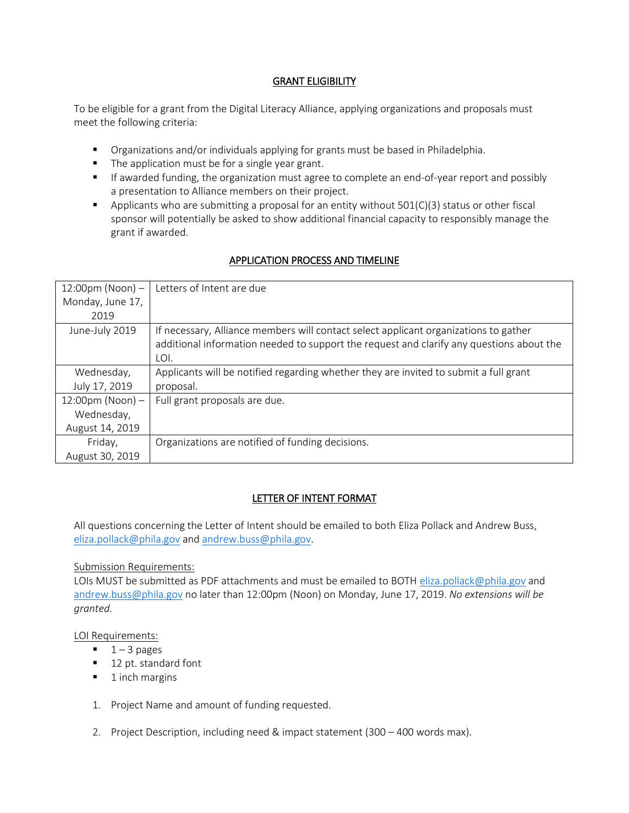### GRANT ELIGIBILITY

To be eligible for a grant from the Digital Literacy Alliance, applying organizations and proposals must meet the following criteria:

- Organizations and/or individuals applying for grants must be based in Philadelphia.
- The application must be for a single year grant.
- **■** If awarded funding, the organization must agree to complete an end-of-year report and possibly a presentation to Alliance members on their project.
- **•** Applicants who are submitting a proposal for an entity without  $501(C)(3)$  status or other fiscal sponsor will potentially be asked to show additional financial capacity to responsibly manage the grant if awarded.

# APPLICATION PROCESS AND TIMELINE

| 12:00pm (Noon) $-$ | Letters of Intent are due                                                                |
|--------------------|------------------------------------------------------------------------------------------|
| Monday, June 17,   |                                                                                          |
| 2019               |                                                                                          |
| June-July 2019     | If necessary, Alliance members will contact select applicant organizations to gather     |
|                    | additional information needed to support the request and clarify any questions about the |
|                    | LOI.                                                                                     |
| Wednesday,         | Applicants will be notified regarding whether they are invited to submit a full grant    |
| July 17, 2019      | proposal.                                                                                |
| 12:00pm (Noon) $-$ | Full grant proposals are due.                                                            |
| Wednesday,         |                                                                                          |
| August 14, 2019    |                                                                                          |
| Friday,            | Organizations are notified of funding decisions.                                         |
| August 30, 2019    |                                                                                          |

#### LETTER OF INTENT FORMAT

All questions concerning the Letter of Intent should be emailed to both Eliza Pollack and Andrew Buss, [eliza.pollack@phila.gov](mailto:eliza.pollack@phila.gov) and [andrew.buss@phila.gov.](mailto:andrew.buss@phila.gov)

#### Submission Requirements:

LOIs MUST be submitted as PDF attachments and must be emailed to BOTH [eliza.pollack@phila.gov](mailto:eliza.pollack@phila.gov) and [andrew.buss@phila.gov](mailto:andrew.buss@phila.gov) no later than 12:00pm (Noon) on Monday, June 17, 2019. *No extensions will be granted.*

#### LOI Requirements:

- $\blacksquare$  1 3 pages
- 12 pt. standard font
- 1 inch margins
- 1. Project Name and amount of funding requested.
- 2. Project Description, including need & impact statement (300 400 words max).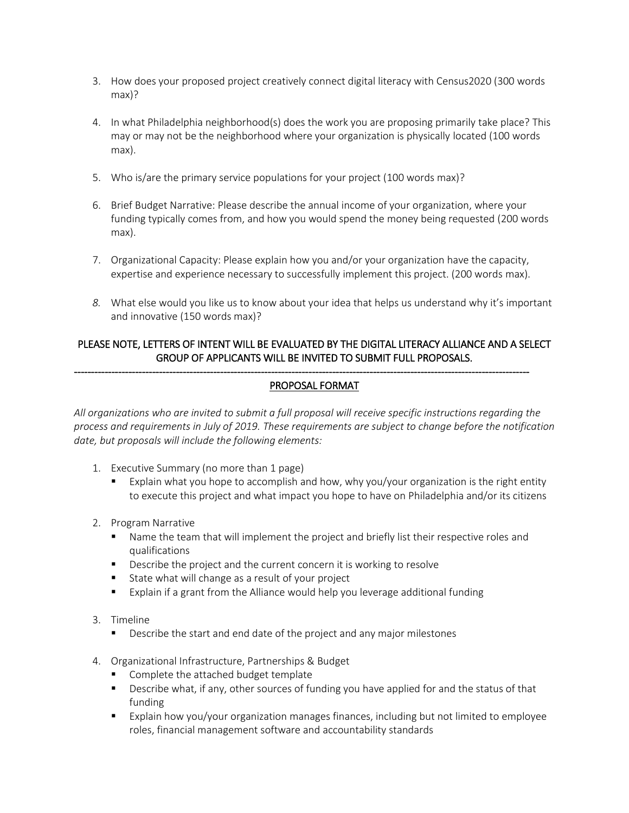- 3. How does your proposed project creatively connect digital literacy with Census2020 (300 words max)?
- 4. In what Philadelphia neighborhood(s) does the work you are proposing primarily take place? This may or may not be the neighborhood where your organization is physically located (100 words max).
- 5. Who is/are the primary service populations for your project (100 words max)?
- 6. Brief Budget Narrative: Please describe the annual income of your organization, where your funding typically comes from, and how you would spend the money being requested (200 words max).
- 7. Organizational Capacity: Please explain how you and/or your organization have the capacity, expertise and experience necessary to successfully implement this project. (200 words max).
- *8.* What else would you like us to know about your idea that helps us understand why it's important and innovative (150 words max)?

## PLEASE NOTE, LETTERS OF INTENT WILL BE EVALUATED BY THE DIGITAL LITERACY ALLIANCE AND A SELECT GROUP OF APPLICANTS WILL BE INVITED TO SUBMIT FULL PROPOSALS.

### PROPOSAL FORMAT

--------------------------------------------------------------------------------------------------------------------------------------

*All organizations who are invited to submit a full proposal will receive specific instructions regarding the process and requirements in July of 2019. These requirements are subject to change before the notification date, but proposals will include the following elements:*

- 1. Executive Summary (no more than 1 page)
	- Explain what you hope to accomplish and how, why you/your organization is the right entity to execute this project and what impact you hope to have on Philadelphia and/or its citizens
- 2. Program Narrative
	- Name the team that will implement the project and briefly list their respective roles and qualifications
	- Describe the project and the current concern it is working to resolve
	- State what will change as a result of your project
	- Explain if a grant from the Alliance would help you leverage additional funding
- 3. Timeline
	- Describe the start and end date of the project and any major milestones
- 4. Organizational Infrastructure, Partnerships & Budget
	- Complete the attached budget template
	- Describe what, if any, other sources of funding you have applied for and the status of that funding
	- Explain how you/your organization manages finances, including but not limited to employee roles, financial management software and accountability standards